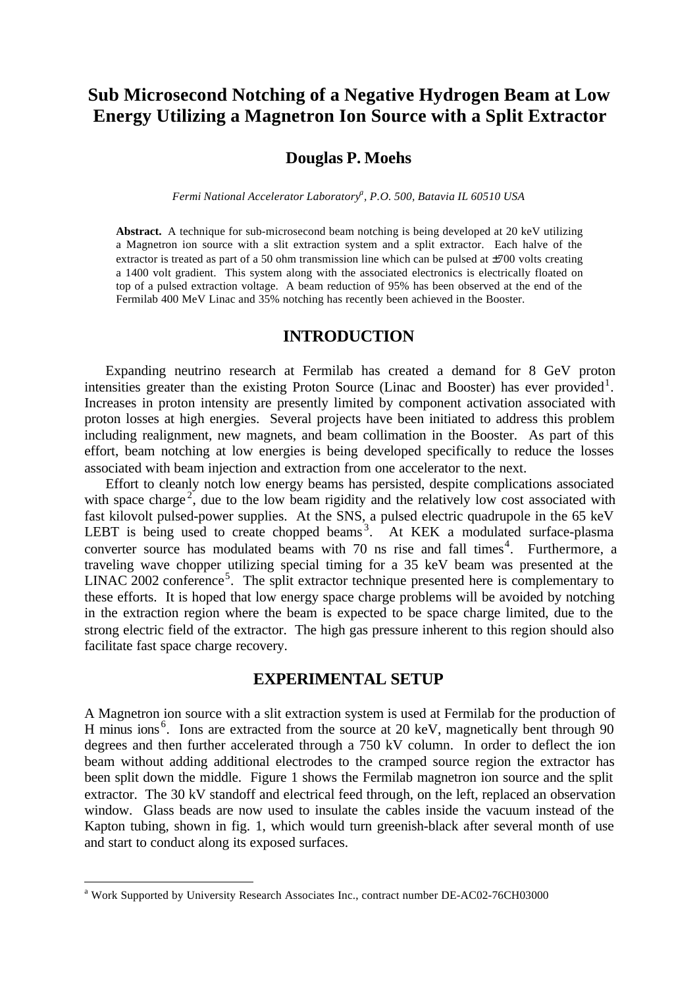# **Sub Microsecond Notching of a Negative Hydrogen Beam at Low Energy Utilizing a Magnetron Ion Source with a Split Extractor**

# **Douglas P. Moehs**

*Fermi National Accelerator Laboratory<sup>a</sup> , P.O. 500, Batavia IL 60510 USA*

**Abstract.** A technique for sub-microsecond beam notching is being developed at 20 keV utilizing a Magnetron ion source with a slit extraction system and a split extractor. Each halve of the extractor is treated as part of a 50 ohm transmission line which can be pulsed at  $\pm$ 700 volts creating a 1400 volt gradient. This system along with the associated electronics is electrically floated on top of a pulsed extraction voltage. A beam reduction of 95% has been observed at the end of the Fermilab 400 MeV Linac and 35% notching has recently been achieved in the Booster.

## **INTRODUCTION**

Expanding neutrino research at Fermilab has created a demand for 8 GeV proton intensities greater than the existing Proton Source (Linac and Booster) has ever provided<sup>1</sup>. Increases in proton intensity are presently limited by component activation associated with proton losses at high energies. Several projects have been initiated to address this problem including realignment, new magnets, and beam collimation in the Booster. As part of this effort, beam notching at low energies is being developed specifically to reduce the losses associated with beam injection and extraction from one accelerator to the next.

Effort to cleanly notch low energy beams has persisted, despite complications associated with space charge<sup>2</sup>, due to the low beam rigidity and the relatively low cost associated with fast kilovolt pulsed-power supplies. At the SNS, a pulsed electric quadrupole in the 65 keV LEBT is being used to create chopped beams<sup>3</sup>. At KEK a modulated surface-plasma converter source has modulated beams with  $70$  ns rise and fall times<sup>4</sup>. Furthermore, a traveling wave chopper utilizing special timing for a 35 keV beam was presented at the LINAC 2002 conference<sup>5</sup>. The split extractor technique presented here is complementary to these efforts. It is hoped that low energy space charge problems will be avoided by notching in the extraction region where the beam is expected to be space charge limited, due to the strong electric field of the extractor. The high gas pressure inherent to this region should also facilitate fast space charge recovery.

## **EXPERIMENTAL SETUP**

A Magnetron ion source with a slit extraction system is used at Fermilab for the production of H minus ions<sup>6</sup>. Ions are extracted from the source at 20 keV, magnetically bent through 90 degrees and then further accelerated through a 750 kV column. In order to deflect the ion beam without adding additional electrodes to the cramped source region the extractor has been split down the middle. Figure 1 shows the Fermilab magnetron ion source and the split extractor. The 30 kV standoff and electrical feed through, on the left, replaced an observation window. Glass beads are now used to insulate the cables inside the vacuum instead of the Kapton tubing, shown in fig. 1, which would turn greenish-black after several month of use and start to conduct along its exposed surfaces.

l

<sup>&</sup>lt;sup>a</sup> Work Supported by University Research Associates Inc., contract number DE-AC02-76CH03000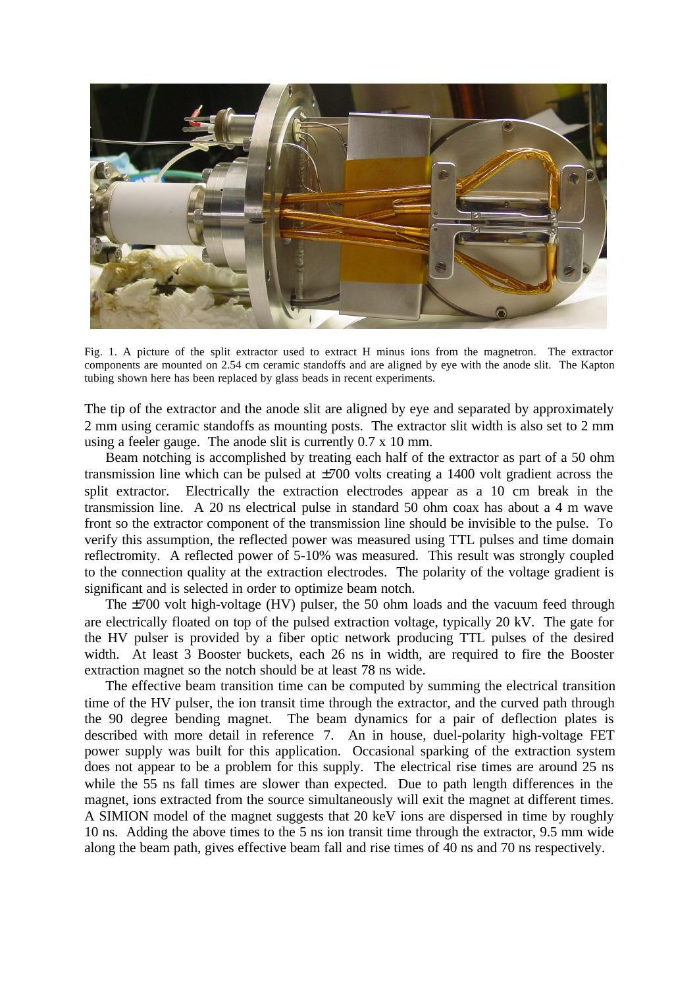

Fig. 1. A picture of the split extractor used to extract H minus ions from the magnetron. The extractor components are mounted on 2.54 cm ceramic standoffs and are aligned by eye with the anode slit. The Kapton tubing shown here has been replaced by glass beads in recent experiments.

The tip of the extractor and the anode slit are aligned by eye and separated by approximately 2 mm using ceramic standoffs as mounting posts. The extractor slit width is also set to 2 mm using a feeler gauge. The anode slit is currently 0.7 x 10 mm.

Beam notching is accomplished by treating each half of the extractor as part of a 50 ohm transmission line which can be pulsed at  $\pm 700$  volts creating a 1400 volt gradient across the split extractor. Electrically the extraction electrodes appear as a 10 cm break in the transmission line. A 20 ns electrical pulse in standard 50 ohm coax has about a 4 m wave front so the extractor component of the transmission line should be invisible to the pulse. To verify this assumption, the reflected power was measured using TTL pulses and time domain reflectromity. A reflected power of 5-10% was measured. This result was strongly coupled to the connection quality at the extraction electrodes. The polarity of the voltage gradient is significant and is selected in order to optimize beam notch.

The ±700 volt high-voltage (HV) pulser, the 50 ohm loads and the vacuum feed through are electrically floated on top of the pulsed extraction voltage, typically 20 kV. The gate for the HV pulser is provided by a fiber optic network producing TTL pulses of the desired width. At least 3 Booster buckets, each 26 ns in width, are required to fire the Booster extraction magnet so the notch should be at least 78 ns wide.

The effective beam transition time can be computed by summing the electrical transition time of the HV pulser, the ion transit time through the extractor, and the curved path through the 90 degree bending magnet. The beam dynamics for a pair of deflection plates is described with more detail in reference 7. An in house, duel-polarity high-voltage FET power supply was built for this application. Occasional sparking of the extraction system does not appear to be a problem for this supply. The electrical rise times are around 25 ns while the 55 ns fall times are slower than expected. Due to path length differences in the magnet, ions extracted from the source simultaneously will exit the magnet at different times. A SIMION model of the magnet suggests that 20 keV ions are dispersed in time by roughly 10 ns. Adding the above times to the 5 ns ion transit time through the extractor, 9.5 mm wide along the beam path, gives effective beam fall and rise times of 40 ns and 70 ns respectively.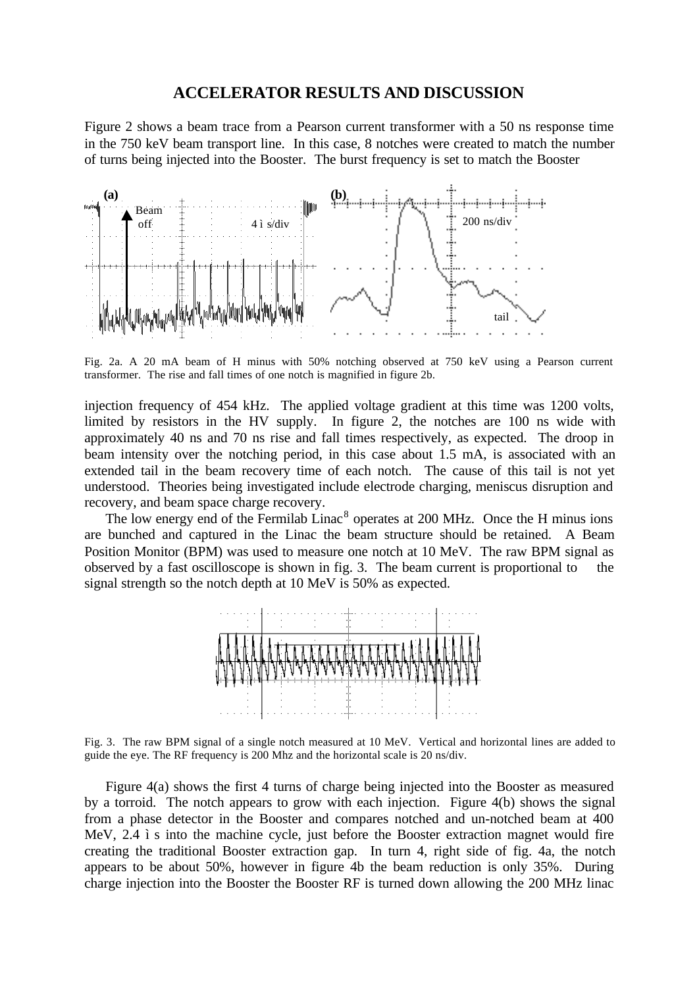#### **ACCELERATOR RESULTS AND DISCUSSION**

Figure 2 shows a beam trace from a Pearson current transformer with a 50 ns response time in the 750 keV beam transport line. In this case, 8 notches were created to match the number of turns being injected into the Booster. The burst frequency is set to match the Booster



Fig. 2a. A 20 mA beam of H minus with 50% notching observed at 750 keV using a Pearson current transformer. The rise and fall times of one notch is magnified in figure 2b.

injection frequency of 454 kHz. The applied voltage gradient at this time was 1200 volts, limited by resistors in the HV supply. In figure 2, the notches are 100 ns wide with approximately 40 ns and 70 ns rise and fall times respectively, as expected. The droop in beam intensity over the notching period, in this case about 1.5 mA, is associated with an extended tail in the beam recovery time of each notch. The cause of this tail is not yet understood. Theories being investigated include electrode charging, meniscus disruption and recovery, and beam space charge recovery.

The low energy end of the Fermilab Linac<sup>8</sup> operates at 200 MHz. Once the H minus ions are bunched and captured in the Linac the beam structure should be retained. A Beam Position Monitor (BPM) was used to measure one notch at 10 MeV. The raw BPM signal as observed by a fast oscilloscope is shown in fig. 3. The beam current is proportional to the signal strength so the notch depth at 10 MeV is 50% as expected.



Fig. 3. The raw BPM signal of a single notch measured at 10 MeV. Vertical and horizontal lines are added to guide the eye. The RF frequency is 200 Mhz and the horizontal scale is 20 ns/div.

Figure 4(a) shows the first 4 turns of charge being injected into the Booster as measured by a torroid. The notch appears to grow with each injection. Figure 4(b) shows the signal from a phase detector in the Booster and compares notched and un-notched beam at 400 MeV, 2.4 *i* s into the machine cycle, just before the Booster extraction magnet would fire creating the traditional Booster extraction gap. In turn 4, right side of fig. 4a, the notch appears to be about 50%, however in figure 4b the beam reduction is only 35%. During charge injection into the Booster the Booster RF is turned down allowing the 200 MHz linac